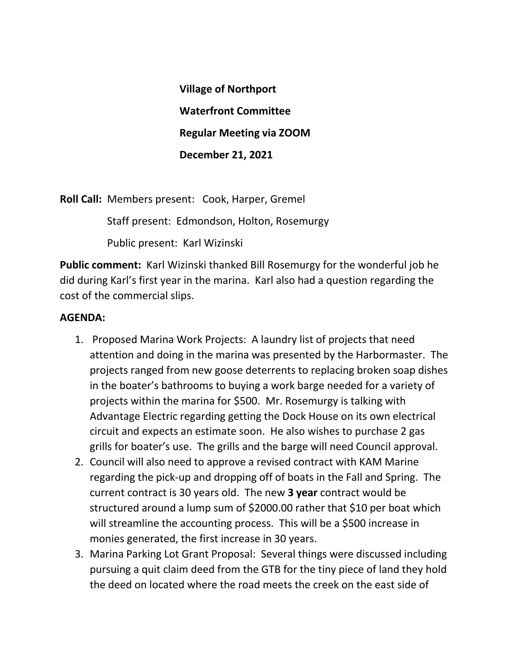**Village of Northport Waterfront Committee Regular Meeting via ZOOM December 21, 2021**

**Roll Call:** Members present: Cook, Harper, Gremel

Staff present: Edmondson, Holton, Rosemurgy

Public present: Karl Wizinski

**Public comment:** Karl Wizinski thanked Bill Rosemurgy for the wonderful job he did during Karl's first year in the marina. Karl also had a question regarding the cost of the commercial slips.

## **AGENDA:**

- 1. Proposed Marina Work Projects: A laundry list of projects that need attention and doing in the marina was presented by the Harbormaster. The projects ranged from new goose deterrents to replacing broken soap dishes in the boater's bathrooms to buying a work barge needed for a variety of projects within the marina for \$500. Mr. Rosemurgy is talking with Advantage Electric regarding getting the Dock House on its own electrical circuit and expects an estimate soon. He also wishes to purchase 2 gas grills for boater's use. The grills and the barge will need Council approval.
- 2. Council will also need to approve a revised contract with KAM Marine regarding the pick-up and dropping off of boats in the Fall and Spring. The current contract is 30 years old. The new **3 year** contract would be structured around a lump sum of \$2000.00 rather that \$10 per boat which will streamline the accounting process. This will be a \$500 increase in monies generated, the first increase in 30 years.
- 3. Marina Parking Lot Grant Proposal: Several things were discussed including pursuing a quit claim deed from the GTB for the tiny piece of land they hold the deed on located where the road meets the creek on the east side of